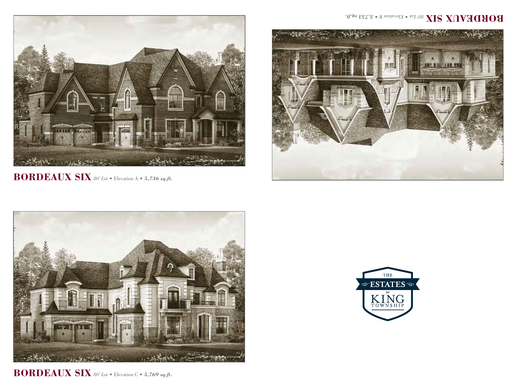

**BORDEAUX SIX** *80' Lot* • Elevation A • *5,736 sq.ft.*



**BORDEAUX SIX** *80' Lot* • Elevation C • *5,769 sq.ft.*

## BORDEVIN 8IN 80. Pot **BUSINES**